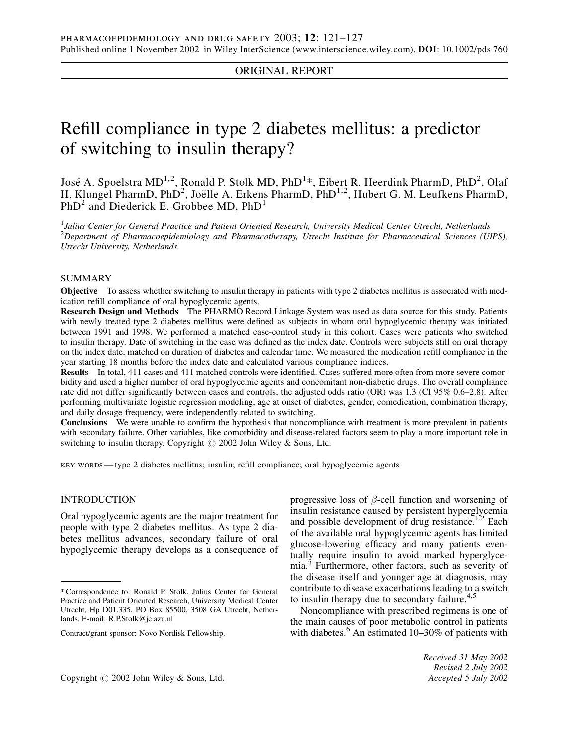# ORIGINAL REPORT

# Refill compliance in type 2 diabetes mellitus: a predictor of switching to insulin therapy?

José A. Spoelstra MD<sup>1,2</sup>, Ronald P. Stolk MD, PhD<sup>1</sup>\*, Eibert R. Heerdink PharmD, PhD<sup>2</sup>, Olaf H. Klungel PharmD, PhD<sup>2</sup>, Joëlle A. Erkens PharmD, PhD<sup>1,2</sup>, Hubert G. M. Leufkens PharmD, PhD<sup>2</sup> and Diederick E. Grobbee MD, PhD<sup>1</sup>

<sup>1</sup> Julius Center for General Practice and Patient Oriented Research, University Medical Center Utrecht, Netherlands  $^{2}$ Department of Pharmacoepidemiology and Pharmacotherapy, Utrecht Institute for Pharmaceutical Sciences (UIPS), Utrecht University, Netherlands

## SUMMARY

Objective To assess whether switching to insulin therapy in patients with type 2 diabetes mellitus is associated with medication refill compliance of oral hypoglycemic agents.

Research Design and Methods The PHARMO Record Linkage System was used as data source for this study. Patients with newly treated type 2 diabetes mellitus were defined as subjects in whom oral hypoglycemic therapy was initiated between 1991 and 1998. We performed a matched case-control study in this cohort. Cases were patients who switched to insulin therapy. Date of switching in the case was defined as the index date. Controls were subjects still on oral therapy on the index date, matched on duration of diabetes and calendar time. We measured the medication refill compliance in the year starting 18 months before the index date and calculated various compliance indices.

Results In total, 411 cases and 411 matched controls were identified. Cases suffered more often from more severe comorbidity and used a higher number of oral hypoglycemic agents and concomitant non-diabetic drugs. The overall compliance rate did not differ significantly between cases and controls, the adjusted odds ratio (OR) was 1.3 (CI 95% 0.6–2.8). After performing multivariate logistic regression modeling, age at onset of diabetes, gender, comedication, combination therapy, and daily dosage frequency, were independently related to switching.

Conclusions We were unable to confirm the hypothesis that noncompliance with treatment is more prevalent in patients with secondary failure. Other variables, like comorbidity and disease-related factors seem to play a more important role in switching to insulin therapy. Copyright  $\odot$  2002 John Wiley & Sons, Ltd.

key words — type 2 diabetes mellitus; insulin; refill compliance; oral hypoglycemic agents

## INTRODUCTION

Oral hypoglycemic agents are the major treatment for people with type 2 diabetes mellitus. As type 2 diabetes mellitus advances, secondary failure of oral hypoglycemic therapy develops as a consequence of progressive loss of  $\beta$ -cell function and worsening of insulin resistance caused by persistent hyperglycemia and possible development of drug resistance.<sup>1,2</sup> Each of the available oral hypoglycemic agents has limited glucose-lowering efficacy and many patients eventually require insulin to avoid marked hyperglycemia.<sup>3</sup> Furthermore, other factors, such as severity of the disease itself and younger age at diagnosis, may contribute to disease exacerbations leading to a switch to insulin therapy due to secondary failure. $4,5$ 

Noncompliance with prescribed regimens is one of the main causes of poor metabolic control in patients with diabetes. $6$  An estimated 10–30% of patients with

<sup>\*</sup> Correspondence to: Ronald P. Stolk, Julius Center for General Practice and Patient Oriented Research, University Medical Center Utrecht, Hp D01.335, PO Box 85500, 3508 GA Utrecht, Netherlands. E-mail: R.P.Stolk@jc.azu.nl

Contract/grant sponsor: Novo Nordisk Fellowship.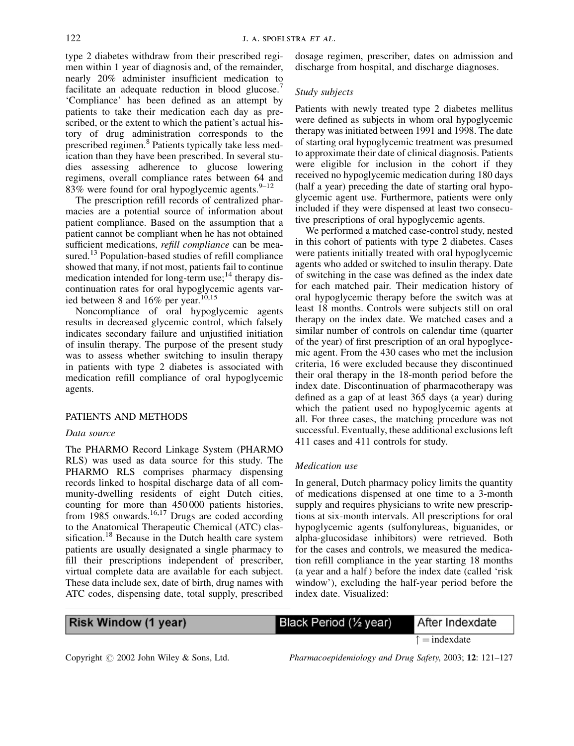type 2 diabetes withdraw from their prescribed regimen within 1 year of diagnosis and, of the remainder, nearly 20% administer insufficient medication to facilitate an adequate reduction in blood glucose.<sup>4</sup> 'Compliance' has been defined as an attempt by patients to take their medication each day as prescribed, or the extent to which the patient's actual history of drug administration corresponds to the prescribed regimen.<sup>8</sup> Patients typically take less medication than they have been prescribed. In several studies assessing adherence to glucose lowering regimens, overall compliance rates between 64 and 83% were found for oral hypoglycemic agents.  $9-12$ 

The prescription refill records of centralized pharmacies are a potential source of information about patient compliance. Based on the assumption that a patient cannot be compliant when he has not obtained sufficient medications, *refill compliance* can be measured.<sup>13</sup> Population-based studies of refill compliance showed that many, if not most, patients fail to continue medication intended for long-term use;<sup>14</sup> therapy discontinuation rates for oral hypoglycemic agents varied between 8 and  $16\%$  per year.<sup>10,15</sup>

Noncompliance of oral hypoglycemic agents results in decreased glycemic control, which falsely indicates secondary failure and unjustified initiation of insulin therapy. The purpose of the present study was to assess whether switching to insulin therapy in patients with type 2 diabetes is associated with medication refill compliance of oral hypoglycemic agents.

### PATIENTS AND METHODS

#### Data source

The PHARMO Record Linkage System (PHARMO RLS) was used as data source for this study. The PHARMO RLS comprises pharmacy dispensing records linked to hospital discharge data of all community-dwelling residents of eight Dutch cities, counting for more than 450 000 patients histories, from  $1985$  onwards.<sup>16,17</sup> Drugs are coded according to the Anatomical Therapeutic Chemical (ATC) classification.<sup>18</sup> Because in the Dutch health care system patients are usually designated a single pharmacy to fill their prescriptions independent of prescriber, virtual complete data are available for each subject. These data include sex, date of birth, drug names with ATC codes, dispensing date, total supply, prescribed

dosage regimen, prescriber, dates on admission and discharge from hospital, and discharge diagnoses.

#### Study subjects

Patients with newly treated type 2 diabetes mellitus were defined as subjects in whom oral hypoglycemic therapy was initiated between 1991 and 1998. The date of starting oral hypoglycemic treatment was presumed to approximate their date of clinical diagnosis. Patients were eligible for inclusion in the cohort if they received no hypoglycemic medication during 180 days (half a year) preceding the date of starting oral hypoglycemic agent use. Furthermore, patients were only included if they were dispensed at least two consecutive prescriptions of oral hypoglycemic agents.

We performed a matched case-control study, nested in this cohort of patients with type 2 diabetes. Cases were patients initially treated with oral hypoglycemic agents who added or switched to insulin therapy. Date of switching in the case was defined as the index date for each matched pair. Their medication history of oral hypoglycemic therapy before the switch was at least 18 months. Controls were subjects still on oral therapy on the index date. We matched cases and a similar number of controls on calendar time (quarter of the year) of first prescription of an oral hypoglycemic agent. From the 430 cases who met the inclusion criteria, 16 were excluded because they discontinued their oral therapy in the 18-month period before the index date. Discontinuation of pharmacotherapy was defined as a gap of at least 365 days (a year) during which the patient used no hypoglycemic agents at all. For three cases, the matching procedure was not successful. Eventually, these additional exclusions left 411 cases and 411 controls for study.

#### Medication use

In general, Dutch pharmacy policy limits the quantity of medications dispensed at one time to a 3-month supply and requires physicians to write new prescriptions at six-month intervals. All prescriptions for oral hypoglycemic agents (sulfonylureas, biguanides, or alpha-glucosidase inhibitors) were retrieved. Both for the cases and controls, we measured the medication refill compliance in the year starting 18 months (a year and a half ) before the index date (called 'risk window'), excluding the half-year period before the index date. Visualized:

| <b>Risk Window (1 year)</b> | Black Period (1/2 year) | After Indexdate       |
|-----------------------------|-------------------------|-----------------------|
|                             |                         | $\hat{z}$ = indexdate |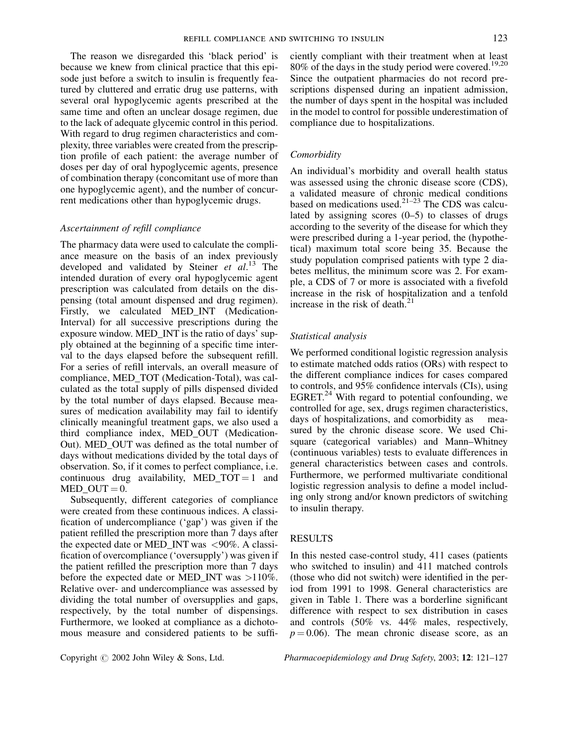The reason we disregarded this 'black period' is because we knew from clinical practice that this episode just before a switch to insulin is frequently featured by cluttered and erratic drug use patterns, with several oral hypoglycemic agents prescribed at the same time and often an unclear dosage regimen, due to the lack of adequate glycemic control in this period. With regard to drug regimen characteristics and complexity, three variables were created from the prescription profile of each patient: the average number of doses per day of oral hypoglycemic agents, presence of combination therapy (concomitant use of more than one hypoglycemic agent), and the number of concurrent medications other than hypoglycemic drugs.

#### Ascertainment of refill compliance

The pharmacy data were used to calculate the compliance measure on the basis of an index previously developed and validated by Steiner  $et$   $al.^{13}$  The intended duration of every oral hypoglycemic agent prescription was calculated from details on the dispensing (total amount dispensed and drug regimen). Firstly, we calculated MED\_INT (Medication-Interval) for all successive prescriptions during the exposure window. MED\_INT is the ratio of days' supply obtained at the beginning of a specific time interval to the days elapsed before the subsequent refill. For a series of refill intervals, an overall measure of compliance, MED\_TOT (Medication-Total), was calculated as the total supply of pills dispensed divided by the total number of days elapsed. Because measures of medication availability may fail to identify clinically meaningful treatment gaps, we also used a third compliance index, MED\_OUT (Medication-Out). MED\_OUT was defined as the total number of days without medications divided by the total days of observation. So, if it comes to perfect compliance, i.e. continuous drug availability, MED\_TOT = 1 and MED OUT  $= 0$ .

Subsequently, different categories of compliance were created from these continuous indices. A classification of undercompliance ('gap') was given if the patient refilled the prescription more than 7 days after the expected date or MED\_INT was <90%. A classification of overcompliance ('oversupply') was given if the patient refilled the prescription more than 7 days before the expected date or MED\_INT was >110%. Relative over- and undercompliance was assessed by dividing the total number of oversupplies and gaps, respectively, by the total number of dispensings. Furthermore, we looked at compliance as a dichotomous measure and considered patients to be sufficiently compliant with their treatment when at least  $80\%$  of the days in the study period were covered.<sup>19,20</sup> Since the outpatient pharmacies do not record prescriptions dispensed during an inpatient admission, the number of days spent in the hospital was included in the model to control for possible underestimation of compliance due to hospitalizations.

#### **Comorbidity**

An individual's morbidity and overall health status was assessed using the chronic disease score (CDS), a validated measure of chronic medical conditions based on medications used. $21-23$  The CDS was calculated by assigning scores (0–5) to classes of drugs according to the severity of the disease for which they were prescribed during a 1-year period, the (hypothetical) maximum total score being 35. Because the study population comprised patients with type 2 diabetes mellitus, the minimum score was 2. For example, a CDS of 7 or more is associated with a fivefold increase in the risk of hospitalization and a tenfold increase in the risk of death. $21$ 

#### Statistical analysis

We performed conditional logistic regression analysis to estimate matched odds ratios (ORs) with respect to the different compliance indices for cases compared to controls, and 95% confidence intervals (CIs), using EGRET. $^{24}$  With regard to potential confounding, we controlled for age, sex, drugs regimen characteristics, days of hospitalizations, and comorbidity as measured by the chronic disease score. We used Chisquare (categorical variables) and Mann–Whitney (continuous variables) tests to evaluate differences in general characteristics between cases and controls. Furthermore, we performed multivariate conditional logistic regression analysis to define a model including only strong and/or known predictors of switching to insulin therapy.

#### RESULTS

In this nested case-control study, 411 cases (patients who switched to insulin) and 411 matched controls (those who did not switch) were identified in the period from 1991 to 1998. General characteristics are given in Table 1. There was a borderline significant difference with respect to sex distribution in cases and controls (50% vs. 44% males, respectively,  $p = 0.06$ ). The mean chronic disease score, as an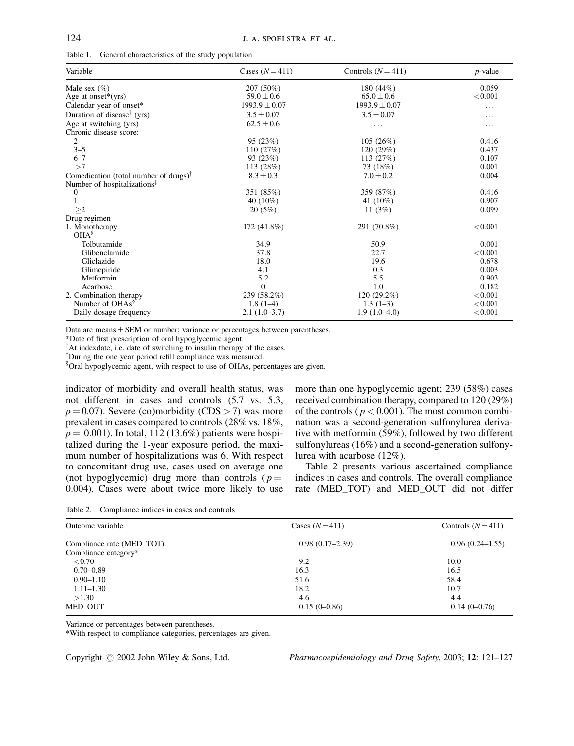|  |  | Table 1. General characteristics of the study population |  |  |  |
|--|--|----------------------------------------------------------|--|--|--|
|--|--|----------------------------------------------------------|--|--|--|

| Variable                                           | Cases $(N=411)$   | Controls $(N=411)$ | $p$ -value |  |
|----------------------------------------------------|-------------------|--------------------|------------|--|
| Male sex $(\% )$                                   | 207 (50%)         | 180 (44%)          | 0.059      |  |
| Age at onset $*(yrs)$                              | $59.0 \pm 0.6$    | $65.0 \pm 0.6$     | < 0.001    |  |
| Calendar year of onset*                            | $1993.9 \pm 0.07$ | $1993.9 \pm 0.07$  | $\cdots$   |  |
| Duration of disease <sup>†</sup> (yrs)             | $3.5 \pm 0.07$    | $3.5 \pm 0.07$     | .          |  |
| Age at switching (yrs)                             | $62.5 \pm 0.6$    | .                  | $\cdots$   |  |
| Chronic disease score:                             |                   |                    |            |  |
| 2                                                  | 95 (23%)          | 105(26%)           | 0.416      |  |
| $3 - 5$                                            | 110(27%)          | 120 (29%)          | 0.437      |  |
| $6 - 7$                                            | 93 (23%)          | 113 (27%)          | 0.107      |  |
| >7                                                 | 113 (28%)         | 73 (18%)           | 0.001      |  |
| Comedication (total number of drugs) $\frac{1}{x}$ | $8.3 \pm 0.3$     | $7.0 \pm 0.2$      | 0.004      |  |
| Number of hospitalizations <sup>†</sup>            |                   |                    |            |  |
| 0                                                  | 351 (85%)         | 359 (87%)          | 0.416      |  |
|                                                    | 40 $(10\%)$       | 41 (10%)           | 0.907      |  |
| >2                                                 | 20(5%)            | 11 $(3%)$          | 0.099      |  |
| Drug regimen                                       |                   |                    |            |  |
| 1. Monotherapy                                     | 172 (41.8%)       | 291 (70.8%)        | < 0.001    |  |
| OHA <sup>§</sup>                                   |                   |                    |            |  |
| Tolbutamide                                        | 34.9              | 50.9               | 0.001      |  |
| Glibenclamide                                      | 37.8              | 22.7               | < 0.001    |  |
| Gliclazide                                         | 18.0              | 19.6               | 0.678      |  |
| Glimepiride                                        | 4.1               | 0.3                | 0.003      |  |
| Metformin                                          | 5.2               | 5.5                | 0.903      |  |
| Acarbose                                           | $\theta$          | 1.0                | 0.182      |  |
| 2. Combination therapy                             | 239 (58.2%)       | 120 (29.2%)        | < 0.001    |  |
| Number of OHAs <sup>§</sup>                        | $1.8(1-4)$        | $1.3(1-3)$         | < 0.001    |  |
| Daily dosage frequency                             | $2.1(1.0-3.7)$    | $1.9(1.0-4.0)$     | < 0.001    |  |

Data are means  $\pm$  SEM or number; variance or percentages between parentheses.

\*Date of first prescription of oral hypoglycemic agent.

 $^{\dagger}$ At indexdate, i.e. date of switching to insulin therapy of the cases.

 $\overline{Z}$ During the one year period refill compliance was measured.

§ Oral hypoglycemic agent, with respect to use of OHAs, percentages are given.

indicator of morbidity and overall health status, was not different in cases and controls (5.7 vs. 5.3,  $p = 0.07$ ). Severe (co)morbidity (CDS > 7) was more prevalent in cases compared to controls (28% vs. 18%,  $p = 0.001$ ). In total, 112 (13.6%) patients were hospitalized during the 1-year exposure period, the maximum number of hospitalizations was 6. With respect to concomitant drug use, cases used on average one (not hypoglycemic) drug more than controls ( $p =$ 0.004). Cases were about twice more likely to use more than one hypoglycemic agent; 239 (58%) cases received combination therapy, compared to 120 (29%) of the controls ( $p < 0.001$ ). The most common combination was a second-generation sulfonylurea derivative with metformin (59%), followed by two different sulfonylureas (16%) and a second-generation sulfonylurea with acarbose (12%).

Table 2 presents various ascertained compliance indices in cases and controls. The overall compliance rate (MED\_TOT) and MED\_OUT did not differ

Table 2. Compliance indices in cases and controls

| Outcome variable                                  | Cases $(N=411)$   | Controls $(N=411)$  |  |
|---------------------------------------------------|-------------------|---------------------|--|
| Compliance rate (MED_TOT)<br>Compliance category* | $0.98(0.17-2.39)$ | $0.96(0.24 - 1.55)$ |  |
| < 0.70                                            | 9.2               | 10.0                |  |
| $0.70 - 0.89$                                     | 16.3              | 16.5                |  |
| $0.90 - 1.10$                                     | 51.6              | 58.4                |  |
| $1.11 - 1.30$                                     | 18.2              | 10.7                |  |
| >1.30                                             | 4.6               | 4.4                 |  |
| MED OUT                                           | $0.15(0-0.86)$    | $0.14(0-0.76)$      |  |

Variance or percentages between parentheses.

\*With respect to compliance categories, percentages are given.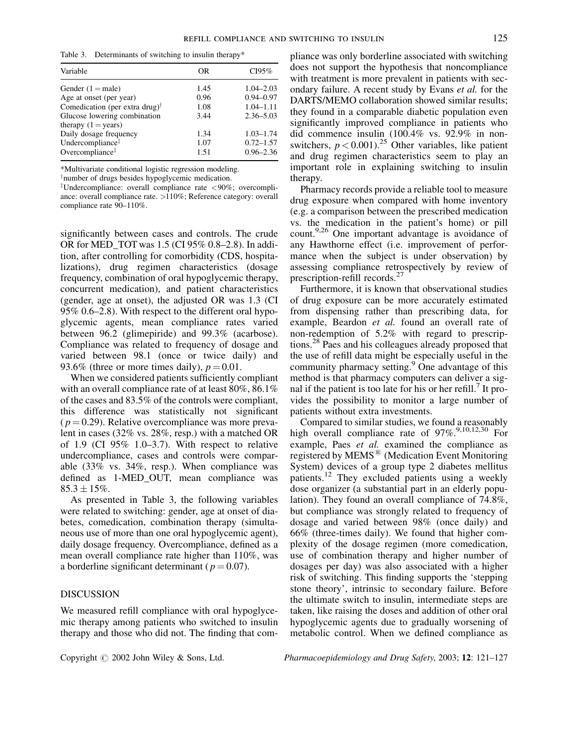Table 3. Determinants of switching to insulin therapy\*

| Variable                                   | OR   | CI95%         |
|--------------------------------------------|------|---------------|
| Gender $(1 = male)$                        | 1.45 | $1.04 - 2.03$ |
| Age at onset (per year)                    | 0.96 | $0.94 - 0.97$ |
| Comedication (per extra drug) <sup>†</sup> | 1.08 | $1.04 - 1.11$ |
| Glucose lowering combination               | 3.44 | $2.36 - 5.03$ |
| therapy $(1 = \text{years})$               |      |               |
| Daily dosage frequency                     | 1.34 | $1.03 - 1.74$ |
| Undercompliance <sup>‡</sup>               | 1.07 | $0.72 - 1.57$ |
| Overcompliance <sup>#</sup>                | 1.51 | $0.96 - 2.36$ |

\*Multivariate conditional logistic regression modeling.

 $\phi$ <sup>†</sup>number of drugs besides hypoglycemic medication.

<sup>‡</sup>Undercompliance: overall compliance rate  $\langle 90\%;$  overcompliance: overall compliance rate. >110%; Reference category: overall compliance rate 90–110%.

significantly between cases and controls. The crude OR for MED\_TOT was 1.5 (CI 95% 0.8–2.8). In addition, after controlling for comorbidity (CDS, hospitalizations), drug regimen characteristics (dosage frequency, combination of oral hypoglycemic therapy, concurrent medication), and patient characteristics (gender, age at onset), the adjusted OR was 1.3 (CI 95% 0.6–2.8). With respect to the different oral hypoglycemic agents, mean compliance rates varied between 96.2 (glimepiride) and 99.3% (acarbose). Compliance was related to frequency of dosage and varied between 98.1 (once or twice daily) and 93.6% (three or more times daily),  $p = 0.01$ .

When we considered patients sufficiently compliant with an overall compliance rate of at least 80%, 86.1% of the cases and 83.5% of the controls were compliant, this difference was statistically not significant  $(p = 0.29)$ . Relative overcompliance was more prevalent in cases (32% vs. 28%, resp.) with a matched OR of 1.9 (CI  $95\%$  1.0–3.7). With respect to relative undercompliance, cases and controls were comparable (33% vs. 34%, resp.). When compliance was defined as 1-MED\_OUT, mean compliance was  $85.3 \pm 15\%$ .

As presented in Table 3, the following variables were related to switching: gender, age at onset of diabetes, comedication, combination therapy (simultaneous use of more than one oral hypoglycemic agent), daily dosage frequency. Overcompliance, defined as a mean overall compliance rate higher than 110%, was a borderline significant determinant ( $p = 0.07$ ).

#### DISCUSSION

We measured refill compliance with oral hypoglycemic therapy among patients who switched to insulin therapy and those who did not. The finding that compliance was only borderline associated with switching does not support the hypothesis that noncompliance with treatment is more prevalent in patients with secondary failure. A recent study by Evans et al. for the DARTS/MEMO collaboration showed similar results; they found in a comparable diabetic population even significantly improved compliance in patients who did commence insulin (100.4% vs. 92.9% in nonswitchers,  $p < 0.001$ ).<sup>25</sup> Other variables, like patient and drug regimen characteristics seem to play an important role in explaining switching to insulin therapy.

Pharmacy records provide a reliable tool to measure drug exposure when compared with home inventory (e.g. a comparison between the prescribed medication vs. the medication in the patient's home) or pill count.<sup>9,26</sup> One important advantage is avoidance of any Hawthorne effect (i.e. improvement of performance when the subject is under observation) by assessing compliance retrospectively by review of prescription-refill records.<sup>27</sup>

Furthermore, it is known that observational studies of drug exposure can be more accurately estimated from dispensing rather than prescribing data, for example, Beardon et al. found an overall rate of non-redemption of 5.2% with regard to prescriptions.<sup>28</sup> Paes and his colleagues already proposed that the use of refill data might be especially useful in the community pharmacy setting.<sup>9</sup> One advantage of this method is that pharmacy computers can deliver a signal if the patient is too late for his or her refill. It provides the possibility to monitor a large number of patients without extra investments.

Compared to similar studies, we found a reasonably high overall compliance rate of 97%.<sup>9,10,12,30</sup> For example, Paes et al. examined the compliance as registered by MEMS<sup>®</sup> (Medication Event Monitoring System) devices of a group type 2 diabetes mellitus patients.<sup>12</sup> They excluded patients using a weekly dose organizer (a substantial part in an elderly population). They found an overall compliance of 74.8%, but compliance was strongly related to frequency of dosage and varied between 98% (once daily) and 66% (three-times daily). We found that higher complexity of the dosage regimen (more comedication, use of combination therapy and higher number of dosages per day) was also associated with a higher risk of switching. This finding supports the 'stepping stone theory', intrinsic to secondary failure. Before the ultimate switch to insulin, intermediate steps are taken, like raising the doses and addition of other oral hypoglycemic agents due to gradually worsening of metabolic control. When we defined compliance as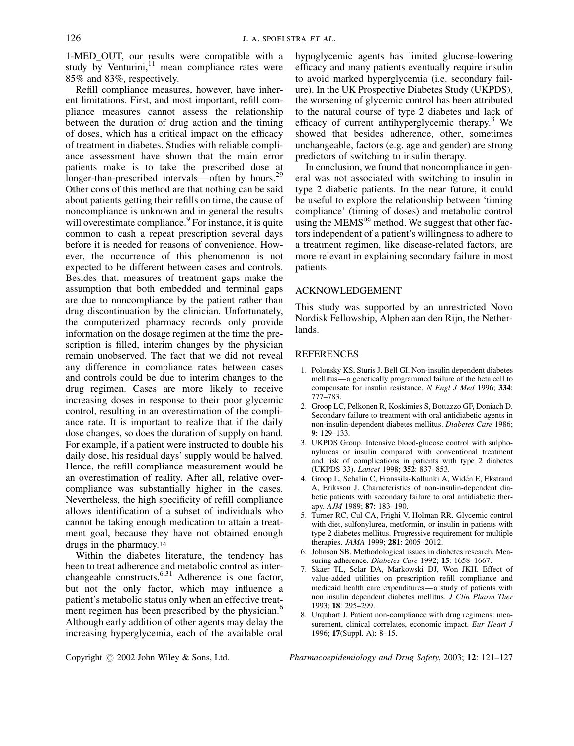1-MED\_OUT, our results were compatible with a study by Venturini, $11$  mean compliance rates were 85% and 83%, respectively.

Refill compliance measures, however, have inherent limitations. First, and most important, refill compliance measures cannot assess the relationship between the duration of drug action and the timing of doses, which has a critical impact on the efficacy of treatment in diabetes. Studies with reliable compliance assessment have shown that the main error patients make is to take the prescribed dose at longer-than-prescribed intervals—often by hours.<sup>29</sup> Other cons of this method are that nothing can be said about patients getting their refills on time, the cause of noncompliance is unknown and in general the results will overestimate compliance.<sup>9</sup> For instance, it is quite common to cash a repeat prescription several days before it is needed for reasons of convenience. However, the occurrence of this phenomenon is not expected to be different between cases and controls. Besides that, measures of treatment gaps make the assumption that both embedded and terminal gaps are due to noncompliance by the patient rather than drug discontinuation by the clinician. Unfortunately, the computerized pharmacy records only provide information on the dosage regimen at the time the prescription is filled, interim changes by the physician remain unobserved. The fact that we did not reveal any difference in compliance rates between cases and controls could be due to interim changes to the drug regimen. Cases are more likely to receive increasing doses in response to their poor glycemic control, resulting in an overestimation of the compliance rate. It is important to realize that if the daily dose changes, so does the duration of supply on hand. For example, if a patient were instructed to double his daily dose, his residual days' supply would be halved. Hence, the refill compliance measurement would be an overestimation of reality. After all, relative overcompliance was substantially higher in the cases. Nevertheless, the high specificity of refill compliance allows identification of a subset of individuals who cannot be taking enough medication to attain a treatment goal, because they have not obtained enough drugs in the pharmacy.14

Within the diabetes literature, the tendency has been to treat adherence and metabolic control as interchangeable constructs. $6,31$  Adherence is one factor, but not the only factor, which may influence a patient's metabolic status only when an effective treatment regimen has been prescribed by the physician.<sup>6</sup> Although early addition of other agents may delay the increasing hyperglycemia, each of the available oral

hypoglycemic agents has limited glucose-lowering efficacy and many patients eventually require insulin to avoid marked hyperglycemia (i.e. secondary failure). In the UK Prospective Diabetes Study (UKPDS), the worsening of glycemic control has been attributed to the natural course of type 2 diabetes and lack of efficacy of current antihyperglycemic therapy.<sup>3</sup> We showed that besides adherence, other, sometimes unchangeable, factors (e.g. age and gender) are strong predictors of switching to insulin therapy.

In conclusion, we found that noncompliance in general was not associated with switching to insulin in type 2 diabetic patients. In the near future, it could be useful to explore the relationship between 'timing compliance' (timing of doses) and metabolic control using the MEMS $^{(8)}$  method. We suggest that other factors independent of a patient's willingness to adhere to a treatment regimen, like disease-related factors, are more relevant in explaining secondary failure in most patients.

#### ACKNOWLEDGEMENT

This study was supported by an unrestricted Novo Nordisk Fellowship, Alphen aan den Rijn, the Netherlands.

#### **REFERENCES**

- 1. Polonsky KS, Sturis J, Bell GI. Non-insulin dependent diabetes mellitus—a genetically programmed failure of the beta cell to compensate for insulin resistance. N Engl J Med 1996; 334: 777–783.
- 2. Groop LC, Pelkonen R, Koskimies S, Bottazzo GF, Doniach D. Secondary failure to treatment with oral antidiabetic agents in non-insulin-dependent diabetes mellitus. Diabetes Care 1986; 9: 129–133.
- 3. UKPDS Group. Intensive blood-glucose control with sulphonylureas or insulin compared with conventional treatment and risk of complications in patients with type 2 diabetes (UKPDS 33). Lancet 1998; 352: 837–853.
- 4. Groop L, Schalin C, Franssila-Kallunki A, Widén E, Ekstrand A, Eriksson J. Characteristics of non-insulin-dependent diabetic patients with secondary failure to oral antidiabetic therapy. AJM 1989; 87: 183–190.
- 5. Turner RC, Cul CA, Frighi V, Holman RR. Glycemic control with diet, sulfonylurea, metformin, or insulin in patients with type 2 diabetes mellitus. Progressive requirement for multiple therapies. JAMA 1999; 281: 2005–2012.
- 6. Johnson SB. Methodological issues in diabetes research. Measuring adherence. Diabetes Care 1992; 15: 1658-1667.
- 7. Skaer TL, Sclar DA, Markowski DJ, Won JKH. Effect of value-added utilities on prescription refill compliance and medicaid health care expenditures—a study of patients with non insulin dependent diabetes mellitus. J Clin Pharm Ther 1993; 18: 295–299.
- 8. Urquhart J. Patient non-compliance with drug regimens: measurement, clinical correlates, economic impact. Eur Heart J 1996; 17(Suppl. A): 8–15.